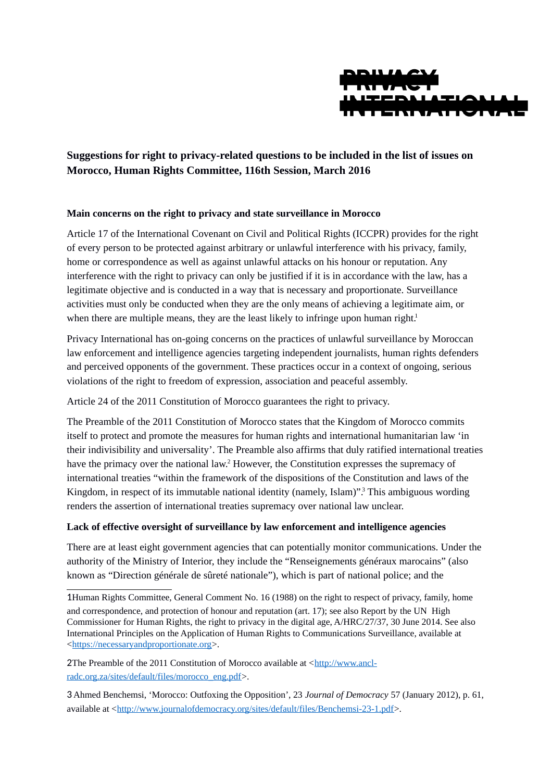

# **Suggestions for right to privacy-related questions to be included in the list of issues on Morocco, Human Rights Committee, 116th Session, March 2016**

## **Main concerns on the right to privacy and state surveillance in Morocco**

Article 17 of the International Covenant on Civil and Political Rights (ICCPR) provides for the right of every person to be protected against arbitrary or unlawful interference with his privacy, family, home or correspondence as well as against unlawful attacks on his honour or reputation. Any interference with the right to privacy can only be justified if it is in accordance with the law, has a legitimate objective and is conducted in a way that is necessary and proportionate. Surveillance activities must only be conducted when they are the only means of achieving a legitimate aim, or when there are multiple means, they are the least likely to infringe upon human right[.](#page-0-0)<sup>1</sup>

Privacy International has on-going concerns on the practices of unlawful surveillance by Moroccan law enforcement and intelligence agencies targeting independent journalists, human rights defenders and perceived opponents of the government. These practices occur in a context of ongoing, serious violations of the right to freedom of expression, association and peaceful assembly.

Article 24 of the 2011 Constitution of Morocco guarantees the right to privacy.

The Preamble of the 2011 Constitution of Morocco states that the Kingdom of Morocco commits itself to protect and promote the measures for human rights and international humanitarian law 'in their indivisibility and universality'. The Preamble also affirms that duly ratified international treaties have the primacy over the national law.<sup>[2](#page-0-1)</sup> However, the Constitution expresses the supremacy of international treaties "within the framework of the dispositions of the Constitution and laws of the Kingdom, in respect of its immutable national identity (namely, Islam)".<sup>[3](#page-0-2)</sup> This ambiguous wording renders the assertion of international treaties supremacy over national law unclear.

### **Lack of effective oversight of surveillance by law enforcement and intelligence agencies**

There are at least eight government agencies that can potentially monitor communications. Under the authority of the Ministry of Interior, they include the "Renseignements généraux marocains" (also known as "Direction générale de sûreté nationale"), which is part of national police; and the

<span id="page-0-1"></span>2The Preamble of the 2011 Constitution of Morocco available at  $\frac{\text{http://www.anch-}}{\text{http://www.anch-}}$ [radc.org.za/sites/default/files/morocco\\_eng.pdf>](http://www.ancl-radc.org.za/sites/default/files/morocco_eng.pdf).

<span id="page-0-2"></span>3 - Ahmed Benchemsi, 'Morocco: Outfoxing the Opposition', 23 *Journal of Democracy* 57 (January 2012), p. 61, available at [<http://www.journalofdemocracy.org/sites/default/files/Benchemsi-23-1.pdf>](http://www.journalofdemocracy.org/sites/default/files/Benchemsi-23-1.pdf).

<span id="page-0-0"></span><sup>1</sup>Human Rights Committee, General Comment No. 16 (1988) on the right to respect of privacy, family, home and correspondence, and protection of honour and reputation (art. 17); see also Report by the UN High Commissioner for Human Rights, the right to privacy in the digital age, A/HRC/27/37, 30 June 2014. See also International Principles on the Application of Human Rights to Communications Surveillance, available at [<https://necessaryandproportionate.org>](https://necessaryandproportionate.org/).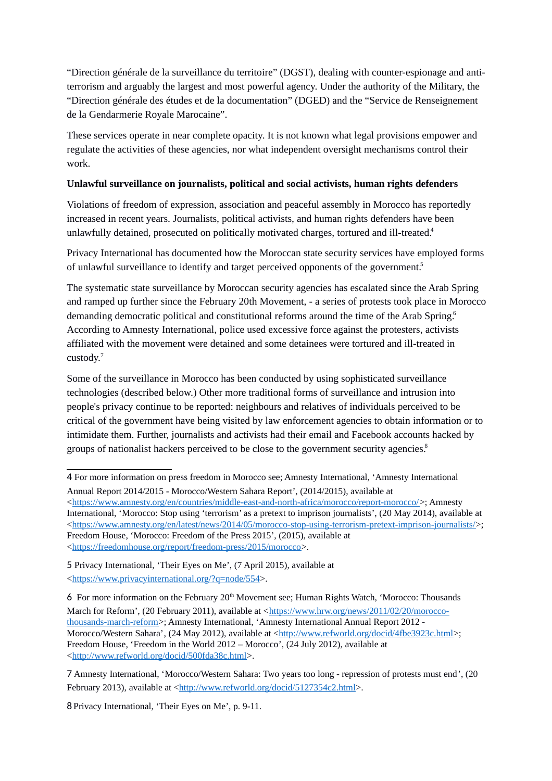"Direction générale de la surveillance du territoire" (DGST), dealing with counter-espionage and antiterrorism and arguably the largest and most powerful agency. Under the authority of the Military, the "Direction générale des études et de la documentation" (DGED) and the "Service de Renseignement de la Gendarmerie Royale Marocaine".

These services operate in near complete opacity. It is not known what legal provisions empower and regulate the activities of these agencies, nor what independent oversight mechanisms control their work.

## **Unlawful surveillance on journalists, political and social activists, human rights defenders**

Violations of freedom of expression, association and peaceful assembly in Morocco has reportedly increased in recent years. Journalists, political activists, and human rights defenders have been unlawfully detained, prosecuted on politically motivated charges, tortured and ill-treated[.](#page-1-0)<sup>4</sup>

Privacy International has documented how the Moroccan state security services have employed forms of unlawful surveillance to identify and target perceived opponents of the government[.](#page-1-1)<sup>5</sup>

The systematic state surveillance by Moroccan security agencies has escalated since the Arab Spring and ramped up further since the February 20th Movement, - a series of protests took place in Morocco demanding democratic political and constitutional reforms around the time of the Arab Spring[.](#page-1-2)<sup>6</sup> According to Amnesty International, police used excessive force against the protesters, activists affiliated with the movement were detained and some detainees were tortured and ill-treated in custody.[7](#page-1-3)

Some of the surveillance in Morocco has been conducted by using sophisticated surveillance technologies (described below.) Other more traditional forms of surveillance and intrusion into people's privacy continue to be reported: neighbours and relatives of individuals perceived to be critical of the government have being visited by law enforcement agencies to obtain information or to intimidate them. Further, journalists and activists had their email and Facebook accounts hacked by groups of nationalist hackers perceived to be close to the government security agencies[.](#page-1-4)<sup>8</sup>

<span id="page-1-4"></span>8 - Privacy International, 'Their Eyes on Me', p. 9-11.

<span id="page-1-0"></span><sup>4</sup> For more information on press freedom in Morocco see; Amnesty International, 'Amnesty International Annual Report 2014/2015 - Morocco/Western Sahara Report', (2014/2015), available at

[<sup>&</sup>lt;https://www.amnesty.org/en/countries/middle-east-and-north-africa/morocco/report-morocco/>](https://www.amnesty.org/en/countries/middle-east-and-north-africa/morocco/report-morocco/); Amnesty International, 'Morocco: Stop using 'terrorism' as a pretext to imprison journalists', (20 May 2014), available at [<https://www.amnesty.org/en/latest/news/2014/05/morocco-stop-using-terrorism-pretext-imprison-journalists/>](https://www.amnesty.org/en/latest/news/2014/05/morocco-stop-using-terrorism-pretext-imprison-journalists/); Freedom House, 'Morocco: Freedom of the Press 2015', (2015), available at [<https://freedomhouse.org/report/freedom-press/2015/morocco>](https://freedomhouse.org/report/freedom-press/2015/morocco).

<span id="page-1-1"></span><sup>5</sup> Privacy International, 'Their Eyes on Me', (7 April 2015), available at [<https://www.privacyinternational.org/?q=node/554>](https://www.privacyinternational.org/?q=node/554).

<span id="page-1-2"></span><sup>6</sup> For more information on the February  $20<sup>th</sup>$  Movement see: Human Rights Watch, 'Morocco: Thousands March for Reform', (20 February 2011), available at [<https://www.hrw.org/news/2011/02/20/morocco](https://www.hrw.org/news/2011/02/20/morocco-thousands-march-reform)[thousands-march-reform>](https://www.hrw.org/news/2011/02/20/morocco-thousands-march-reform); Amnesty International, 'Amnesty International Annual Report 2012 - Morocco/Western Sahara', (24 May 2012), available at [<http://www.refworld.org/docid/4fbe3923c.html>](http://www.refworld.org/docid/4fbe3923c.html); Freedom House, 'Freedom in the World 2012 – Morocco', (24 July 2012), available at [<http://www.refworld.org/docid/500fda38c.html>](http://www.refworld.org/docid/500fda38c.html).

<span id="page-1-3"></span><sup>7</sup> Amnesty International, 'Morocco/Western Sahara: Two years too long - repression of protests must end', (20 February 2013), available at [<http://www.refworld.org/docid/5127354c2.html>](http://www.refworld.org/docid/5127354c2.html).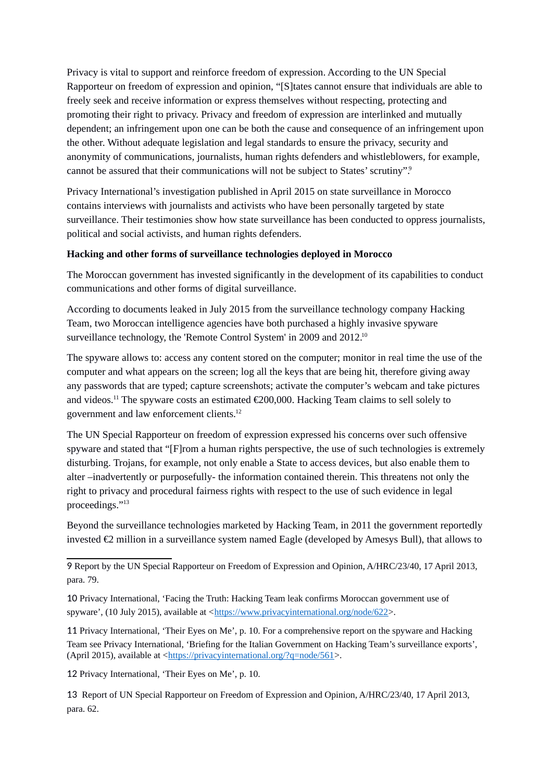Privacy is vital to support and reinforce freedom of expression. According to the UN Special Rapporteur on freedom of expression and opinion, "[S]tates cannot ensure that individuals are able to freely seek and receive information or express themselves without respecting, protecting and promoting their right to privacy. Privacy and freedom of expression are interlinked and mutually dependent; an infringement upon one can be both the cause and consequence of an infringement upon the other. Without adequate legislation and legal standards to ensure the privacy, security and anonymity of communications, journalists, human rights defenders and whistleblowers, for example, cannot be assured that their communications will not be subject to States' scrutiny"[.](#page-2-0)<sup>9</sup>

Privacy International's investigation published in April 2015 on state surveillance in Morocco contains interviews with journalists and activists who have been personally targeted by state surveillance. Their testimonies show how state surveillance has been conducted to oppress journalists, political and social activists, and human rights defenders.

## **Hacking and other forms of surveillance technologies deployed in Morocco**

The Moroccan government has invested significantly in the development of its capabilities to conduct communications and other forms of digital surveillance.

According to documents leaked in July 2015 from the surveillance technology company Hacking Team, two Moroccan intelligence agencies have both purchased a highly invasive spyware surveillance technology, the 'Remote Control System' in 2009 and 2012.<sup>[10](#page-2-1)</sup>

The spyware allows to: access any content stored on the computer; monitor in real time the use of the computer and what appears on the screen; log all the keys that are being hit, therefore giving away any passwords that are typed; capture screenshots; activate the computer's webcam and take pictures and videos.[11](#page-2-2) The spyware costs an estimated €200,000. Hacking Team claims to sell solely to government and law enforcement clients.[12](#page-2-3)

The UN Special Rapporteur on freedom of expression expressed his concerns over such offensive spyware and stated that "[F]rom a human rights perspective, the use of such technologies is extremely disturbing. Trojans, for example, not only enable a State to access devices, but also enable them to alter –inadvertently or purposefully- the information contained therein. This threatens not only the right to privacy and procedural fairness rights with respect to the use of such evidence in legal proceedings."[13](#page-2-4)

Beyond the surveillance technologies marketed by Hacking Team, in 2011 the government reportedly invested €2 million in a surveillance system named Eagle (developed by Amesys Bull), that allows to

<span id="page-2-2"></span>11 Privacy International, 'Their Eyes on Me', p. 10. For a comprehensive report on the spyware and Hacking Team see Privacy International, 'Briefing for the Italian Government on Hacking Team's surveillance exports', (April 2015), available at [<https://privacyinternational.org/?q=node/561>](https://privacyinternational.org/?q=node/561).

<span id="page-2-3"></span>12 Privacy International, 'Their Eyes on Me', p. 10.

<span id="page-2-4"></span>13 Report of UN Special Rapporteur on Freedom of Expression and Opinion, A/HRC/23/40, 17 April 2013, para. 62.

<span id="page-2-0"></span><sup>9</sup> Report by the UN Special Rapporteur on Freedom of Expression and Opinion, A/HRC/23/40, 17 April 2013, para. 79.

<span id="page-2-1"></span><sup>10</sup> Privacy International, 'Facing the Truth: Hacking Team leak confirms Moroccan government use of spyware', (10 July 2015), available at [<https://www.privacyinternational.org/node/622>](https://www.privacyinternational.org/node/622).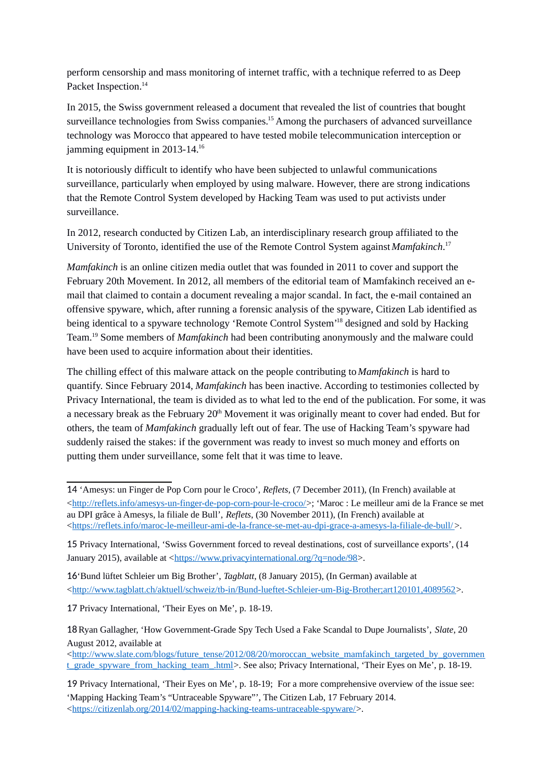perform censorship and mass monitoring of internet traffic, with a technique referred to as Deep Packet Inspection.<sup>[14](#page-3-0)</sup>

In 2015, the Swiss government released a document that revealed the list of countries that bought surveillance technologies from Swiss companies.<sup>[15](#page-3-1)</sup> Among the purchasers of advanced surveillance technology was Morocco that appeared to have tested mobile telecommunication interception or jamming equipment in 2013-14.<sup>[16](#page-3-2)</sup>

It is notoriously difficult to identify who have been subjected to unlawful communications surveillance, particularly when employed by using malware. However, there are strong indications that the Remote Control System developed by Hacking Team was used to put activists under surveillance.

In 2012, research conducted by Citizen Lab, an interdisciplinary research group affiliated to the University of Toronto, identified the use of the Remote Control System against *Mamfakinch*. [17](#page-3-3)

*Mamfakinch* is an online citizen media outlet that was founded in 2011 to cover and support the February 20th Movement. In 2012, all members of the editorial team of Mamfakinch received an email that claimed to contain a document revealing a major scandal. In fact, the e-mail contained an offensive spyware, which, after running a forensic analysis of the spyware, Citizen Lab identified as being identical to a spyware technology 'Remote Control System<sup>[18](#page-3-4)</sup> designed and sold by Hacking Team.[19](#page-3-5) Some members of *Mamfakinch* had been contributing anonymously and the malware could have been used to acquire information about their identities.

The chilling effect of this malware attack on the people contributing to *Mamfakinch* is hard to quantify. Since February 2014, *Mamfakinch* has been inactive. According to testimonies collected by Privacy International, the team is divided as to what led to the end of the publication. For some, it was a necessary break as the February  $20<sup>th</sup>$  Movement it was originally meant to cover had ended. But for others, the team of *Mamfakinch* gradually left out of fear. The use of Hacking Team's spyware had suddenly raised the stakes: if the government was ready to invest so much money and efforts on putting them under surveillance, some felt that it was time to leave.

<span id="page-3-2"></span>16'Bund lüftet Schleier um Big Brother', *Tagblatt*, (8 January 2015), (In German) available at [<http://www.tagblatt.ch/aktuell/schweiz/tb-in/Bund-lueftet-Schleier-um-Big-Brother;art120101,4089562>](http://www.tagblatt.ch/aktuell/schweiz/tb-in/Bund-lueftet-Schleier-um-Big-Brother;art120101,4089562).

<span id="page-3-3"></span>17 Privacy International, 'Their Eyes on Me', p. 18-19.

<span id="page-3-4"></span>18 Ryan Gallagher, 'How Government-Grade Spy Tech Used a Fake Scandal to Dupe Journalists', Slate, 20 August 2012, available at

 $\text{~d}$ thtp://www.slate.com/blogs/future\_tense/2012/08/20/moroccan\_website\_mamfakinch\_targeted\_by\_governmen [t\\_grade\\_spyware\\_from\\_hacking\\_team\\_.html>](http://www.slate.com/blogs/future_tense/2012/08/20/moroccan_website_mamfakinch_targeted_by_government_grade_spyware_from_hacking_team_.html). See also; Privacy International, 'Their Eyes on Me', p. 18-19.

<span id="page-3-0"></span><sup>14</sup> 'Amesys: un Finger de Pop Corn pour le Croco', *Reflets*, (7 December 2011), (In French) available at [<http://reflets.info/amesys-un-finger-de-pop-corn-pour-le-croco/>](http://reflets.info/amesys-un-finger-de-pop-corn-pour-le-croco/); 'Maroc : Le meilleur ami de la France se met au DPI grâce à Amesys, la filiale de Bull', *Reflets*, (30 November 2011), (In French) available at [<https://reflets.info/maroc-le-meilleur-ami-de-la-france-se-met-au-dpi-grace-a-amesys-la-filiale-de-bull/](https://reflets.info/maroc-le-meilleur-ami-de-la-france-se-met-au-dpi-grace-a-amesys-la-filiale-de-bull/) >.

<span id="page-3-1"></span><sup>15</sup> Privacy International, 'Swiss Government forced to reveal destinations, cost of surveillance exports', (14 January 2015), available at [<https://www.privacyinternational.org/?q=node/98>](https://www.privacyinternational.org/?q=node/98).

<span id="page-3-5"></span><sup>19</sup> Privacy International, 'Their Eyes on Me', p. 18-19; For a more comprehensive overview of the issue see: 'Mapping Hacking Team's "Untraceable Spyware"', The Citizen Lab, 17 February 2014. [<https://citizenlab.org/2014/02/mapping-hacking-teams-untraceable-spyware/>](https://citizenlab.org/2014/02/mapping-hacking-teams-untraceable-spyware/).